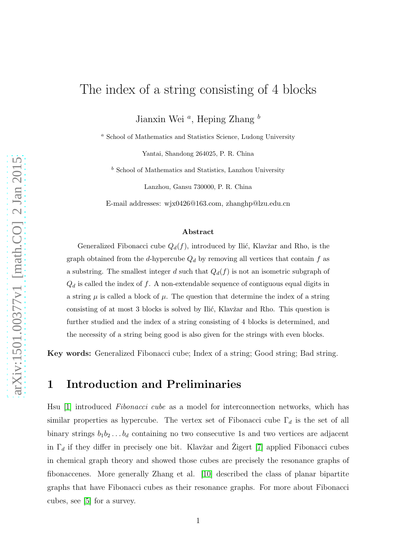# The index of a string consisting of 4 blocks

Jianxin Wei<sup>a</sup>, Heping Zhang<sup>b</sup>

 $^{\,a}$  School of Mathematics and Statistics Science, Ludong University

Yantai, Shandong 264025, P. R. China

 $<sup>b</sup>$  School of Mathematics and Statistics, Lanzhou University</sup>

Lanzhou, Gansu 730000, P. R. China

E-mail addresses: wjx0426@163.com, zhanghp@lzu.edu.cn

#### Abstract

Generalized Fibonacci cube  $Q_d(f)$ , introduced by Ilić, Klavžar and Rho, is the graph obtained from the d-hypercube  $Q_d$  by removing all vertices that contain f as a substring. The smallest integer d such that  $Q_d(f)$  is not an isometric subgraph of  $Q_d$  is called the index of f. A non-extendable sequence of contiguous equal digits in a string  $\mu$  is called a block of  $\mu$ . The question that determine the index of a string consisting of at most 3 blocks is solved by Ilić, Klavžar and Rho. This question is further studied and the index of a string consisting of 4 blocks is determined, and the necessity of a string being good is also given for the strings with even blocks.

Key words: Generalized Fibonacci cube; Index of a string; Good string; Bad string.

# 1 Introduction and Preliminaries

Hsu [\[1\]](#page-10-0) introduced *Fibonacci cube* as a model for interconnection networks, which has similar properties as hypercube. The vertex set of Fibonacci cube  $\Gamma_d$  is the set of all binary strings  $b_1b_2 \ldots b_d$  containing no two consecutive 1s and two vertices are adjacent in  $\Gamma_d$  if they differ in precisely one bit. Klavžar and Žigert [\[7\]](#page-11-0) applied Fibonacci cubes in chemical graph theory and showed those cubes are precisely the resonance graphs of fibonaccenes. More generally Zhang et al. [\[10\]](#page-11-1) described the class of planar bipartite graphs that have Fibonacci cubes as their resonance graphs. For more about Fibonacci cubes, see [\[5\]](#page-11-2) for a survey.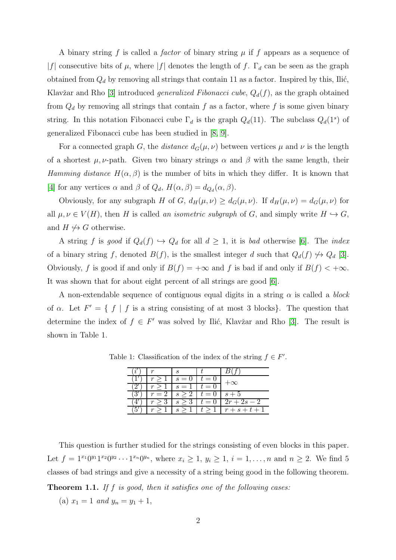A binary string  $f$  is called a *factor* of binary string  $\mu$  if  $f$  appears as a sequence of |f| consecutive bits of  $\mu$ , where |f| denotes the length of f.  $\Gamma_d$  can be seen as the graph obtained from  $Q_d$  by removing all strings that contain 11 as a factor. Inspired by this, Ilić, Klavžar and Rho [\[3\]](#page-11-3) introduced *generalized Fibonacci cube*,  $Q_d(f)$ , as the graph obtained from  $Q_d$  by removing all strings that contain f as a factor, where f is some given binary string. In this notation Fibonacci cube  $\Gamma_d$  is the graph  $Q_d(11)$ . The subclass  $Q_d(1^s)$  of generalized Fibonacci cube has been studied in [\[8,](#page-11-4) [9\]](#page-11-5).

For a connected graph G, the *distance*  $d_G(\mu, \nu)$  between vertices  $\mu$  and  $\nu$  is the length of a shortest  $\mu$ ,  $\nu$ -path. Given two binary strings  $\alpha$  and  $\beta$  with the same length, their *Hamming distance*  $H(\alpha, \beta)$  is the number of bits in which they differ. It is known that [\[4\]](#page-11-6) for any vertices  $\alpha$  and  $\beta$  of  $Q_d$ ,  $H(\alpha, \beta) = d_{Q_d}(\alpha, \beta)$ .

Obviously, for any subgraph H of G,  $d_H(\mu, \nu) \geq d_G(\mu, \nu)$ . If  $d_H(\mu, \nu) = d_G(\mu, \nu)$  for all  $\mu, \nu \in V(H)$ , then H is called *an isometric subgraph* of G, and simply write  $H \hookrightarrow G$ , and  $H \nleftrightarrow G$  otherwise.

A string f is good if  $Q_d(f) \hookrightarrow Q_d$  for all  $d \geq 1$ , it is *bad* otherwise [\[6\]](#page-11-7). The *index* of a binary string f, denoted  $B(f)$ , is the smallest integer d such that  $Q_d(f) \nleftrightarrow Q_d$  [\[3\]](#page-11-3). Obviously, f is good if and only if  $B(f) = +\infty$  and f is bad if and only if  $B(f) < +\infty$ . It was shown that for about eight percent of all strings are good [\[6\]](#page-11-7).

A non-extendable sequence of contiguous equal digits in a string  $\alpha$  is called a *block* of  $\alpha$ . Let  $F' = \{ f | f$  is a string consisting of at most 3 blocks}. The question that determine the index of  $f \in F'$  was solved by Ilić, Klavžar and Rho [\[3\]](#page-11-3). The result is shown in Table 1.

|     | S<br>$\overline{\phantom{0}}$                           |       | $\mathbf{X}$         |
|-----|---------------------------------------------------------|-------|----------------------|
|     | $\mathcal{S}_{\mathcal{S}}$<br>$\overline{\phantom{0}}$ |       |                      |
| — 1 | S                                                       | $t =$ | $s+5$                |
|     | S                                                       | $=$   | $\overline{2r+2s-2}$ |
| r   | S                                                       |       | $r+s+t$              |

Table 1: Classification of the index of the string  $f \in F'$ .

This question is further studied for the strings consisting of even blocks in this paper. Let  $f = 1^{x_1}0^{y_1}1^{x_2}0^{y_2}\cdots1^{x_n}0^{y_n}$ , where  $x_i \geq 1$ ,  $y_i \geq 1$ ,  $i = 1, \ldots, n$  and  $n \geq 2$ . We find 5 classes of bad strings and give a necessity of a string being good in the following theorem. Theorem 1.1. *If* f *is good, then it satisfies one of the following cases:*

(a)  $x_1 = 1$  *and*  $y_n = y_1 + 1$ ,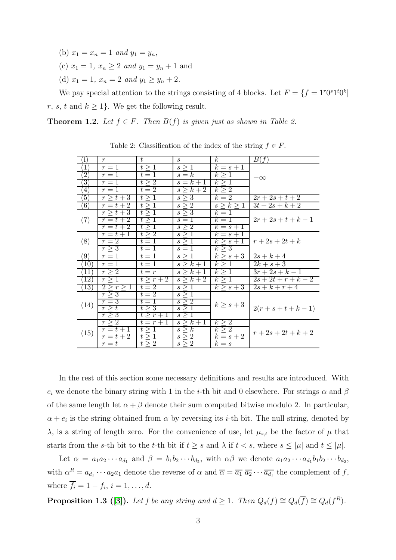- (b)  $x_1 = x_n = 1$  *and*  $y_1 = y_n$ ,
- (c)  $x_1 = 1, x_n \ge 2$  *and*  $y_1 = y_n + 1$  and
- (d)  $x_1 = 1$ ,  $x_n = 2$  *and*  $y_1 \ge y_n + 2$ .

We pay special attention to the strings consisting of 4 blocks. Let  $F = \{f = 1^r 0^s 1^t 0^k\}$ r, s, t and  $k \geq 1$ . We get the following result.

**Theorem 1.2.** Let  $f \in F$ . Then  $B(f)$  is given just as shown in Table 2.

| $\mathbf{1}$                 | $r_{\rm}$          | $t_{-}$          | S                     | $k_{\perp}$       | B(f)                   |  |
|------------------------------|--------------------|------------------|-----------------------|-------------------|------------------------|--|
| $\mathbf{T}$                 | $r=1$              | $t \geq 1$       | $s \geq 1$            | $k=s+1$           |                        |  |
| $\overline{2}$               | $r=1$              | $t=1$            | $s=k$                 | $k \geq 1$        | $+\infty$              |  |
| $\overline{3}$               | $r=1$              | $t\geq 2$        | $s=k+1$               | $k \geq 1$        |                        |  |
| 4)                           | $r=1$              | $t=2$            | $s \geq k+2$          | $k \geq 2$        |                        |  |
| $\sqrt{5}$                   | $r \geq t + 3$     | $t\geq 1$        | $s \geq 3$            | $k=2$             | $2r + 2s + t + 2$      |  |
| (6)                          | $r=t+2$            | t > 1            | $s \geq 2$            | $s \geq k \geq 1$ | $3t + 2s + k + 2$      |  |
| (7)                          | $r > t + 3$        | t > 1            | $s \geq 3$            | $k=1$             |                        |  |
|                              | $r=t+2$            | t > 1            | $s=1$                 | $k=1$             | $2r + 2s + t + k - 1$  |  |
|                              | $r=t+2$            | t > 1            | $s \geq 2$            | $k=s+1$           |                        |  |
| (8)                          | $r=t+1$            | $t \geq 2$       | $s \geq 1$            | $k=s+1$           |                        |  |
|                              | $r=2$              | $t=1$            | $s \geq 1$            | $k \geq s+1$      | $r + 2s + 2t + k$      |  |
|                              | $r \geq 3$         | $t=1$            | $s=1$                 | $k \geq 3$        |                        |  |
| (9)                          | $r=1$              | $t=1$            | $s\geq 1$             | $k \geq s+3$      | $2s + k + 4$           |  |
| $\left(10\right)$            | $r=1$              | $\overline{t}=1$ | $s > k+1$             | $k \geq 1$        | $2k + s + 3$           |  |
| $\left(11\right)$            | $r \geq 2$         | $t=r$            | $s > k+1$             | $k\geq 1$         | $\overline{3r+2s}+k-1$ |  |
| $\left\lceil 12\right\rceil$ | r > 1              | $t > r + 2$      | $s \geq k+2$          | $k\geq 1$         | $2s + 2t + r + k - 2$  |  |
| (13)                         | 2 > r > 1          | $t=2$            | $s \geq 1$            | $k > s+3$         | $2s + k + r + 4$       |  |
| (14)                         | r > 3              | $t=2$            | $s \geq 1$            |                   |                        |  |
|                              | $r=3$              | $t=1$            | $\overline{s} \geq 2$ | $k \geq s+3$      |                        |  |
|                              | $r \geq t$         | $t \geq 3$       | $s \geq 1$            |                   | $2(r+s+t+k-1)$         |  |
|                              | $r \geq 3$         | $t \geq r+1$     | $s \geq 1$            |                   |                        |  |
| (15)                         | $r \geq 2$         | $t=r+1$          | $s \geq k+1$          | $k \geq 2$        |                        |  |
|                              | $r=t+1$            | $t \geq 1$       | $s \geq k$            | $k \geq 2$        | $r + 2s + 2t + k + 2$  |  |
|                              | $r=t+2$            | t > 1            | $s\geq 2$             | $k=s+2$           |                        |  |
|                              | $\overline{r} = t$ | $t \geq 2$       | $s \geq 2$            | $k = s$           |                        |  |

Table 2: Classification of the index of the string  $f \in F$ .

In the rest of this section some necessary definitions and results are introduced. With  $e_i$  we denote the binary string with 1 in the *i*-th bit and 0 elsewhere. For strings  $\alpha$  and  $\beta$ of the same length let  $\alpha + \beta$  denote their sum computed bitwise modulo 2. In particular,  $\alpha + e_i$  is the string obtained from  $\alpha$  by reversing its *i*-th bit. The null string, denoted by  $\lambda$ , is a string of length zero. For the convenience of use, let  $\mu_{s,t}$  be the factor of  $\mu$  that starts from the s-th bit to the t-th bit if  $t \geq s$  and  $\lambda$  if  $t < s$ , where  $s \leq |\mu|$  and  $t \leq |\mu|$ .

Let  $\alpha = a_1 a_2 \cdots a_{d_1}$  and  $\beta = b_1 b_2 \cdots b_{d_2}$ , with  $\alpha \beta$  we denote  $a_1 a_2 \cdots a_{d_1} b_1 b_2 \cdots b_{d_2}$ , with  $\alpha^R = a_{d_1} \cdots a_2 a_1$  denote the reverse of  $\alpha$  and  $\overline{\alpha} = \overline{a_1} \ \overline{a_2} \cdots \overline{a_{d_1}}$  the complement of f, where  $f_i = 1 - f_i, i = 1, ..., d$ .

**Proposition 1.3** ([\[3\]](#page-11-3)). *Let f be any string and*  $d \ge 1$ *. Then*  $Q_d(f) \cong Q_d(\overline{f}) \cong Q_d(f^R)$ *.*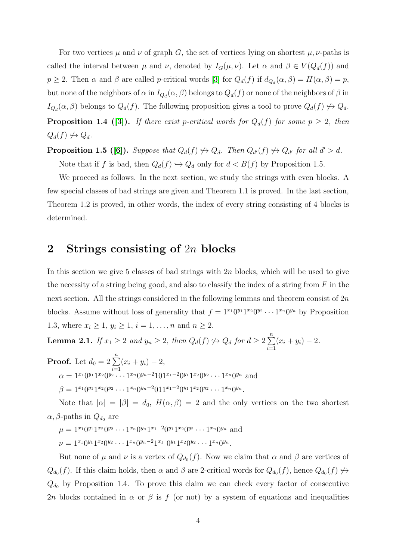For two vertices  $\mu$  and  $\nu$  of graph G, the set of vertices lying on shortest  $\mu$ ,  $\nu$ -paths is called the interval between  $\mu$  and  $\nu$ , denoted by  $I_G(\mu, \nu)$ . Let  $\alpha$  and  $\beta \in V(Q_d(f))$  and  $p \ge 2$ . Then  $\alpha$  and  $\beta$  are called p-critical words [\[3\]](#page-11-3) for  $Q_d(f)$  if  $d_{Q_d}(\alpha, \beta) = H(\alpha, \beta) = p$ , but none of the neighbors of  $\alpha$  in  $I_{Q_d}(\alpha,\beta)$  belongs to  $Q_d(f)$  or none of the neighbors of  $\beta$  in  $I_{Q_d}(\alpha, \beta)$  belongs to  $Q_d(f)$ . The following proposition gives a tool to prove  $Q_d(f) \nrightarrow Q_d$ . **Proposition 1.4** ([\[3\]](#page-11-3)). If there exist p-critical words for  $Q_d(f)$  for some  $p \geq 2$ , then  $Q_d(f) \nleftrightarrow Q_d$ .

**Proposition 1.5** ([\[6\]](#page-11-7)). Suppose that  $Q_d(f) \nleftrightarrow Q_d$ . Then  $Q_{d'}(f) \nleftrightarrow Q_{d'}$  for all  $d' > d$ . Note that if f is bad, then  $Q_d(f) \hookrightarrow Q_d$  only for  $d < B(f)$  by Proposition 1.5.

We proceed as follows. In the next section, we study the strings with even blocks. A few special classes of bad strings are given and Theorem 1.1 is proved. In the last section, Theorem 1.2 is proved, in other words, the index of every string consisting of 4 blocks is determined.

## 2 Strings consisting of  $2n$  blocks

In this section we give 5 classes of bad strings with  $2n$  blocks, which will be used to give the necessity of a string being good, and also to classify the index of a string from  $F$  in the next section. All the strings considered in the following lemmas and theorem consist of  $2n$ blocks. Assume without loss of generality that  $f = 1^{x_1}0^{y_1}1^{x_2}0^{y_2} \cdots 1^{x_n}0^{y_n}$  by Proposition 1.3, where  $x_i \geq 1, y_i \geq 1, i = 1, ..., n$  and  $n \geq 2$ .

**Lemma 2.1.** *If*  $x_1 \geq 2$  *and*  $y_n \geq 2$ *, then*  $Q_d(f) \nleftrightarrow Q_d$  *for*  $d \geq 2 \sum_{n=1}^{\infty}$  $i=1$  $(x_i + y_i) - 2.$ 

**Proof.** Let  $d_0 = 2 \sum_{n=1}^{n}$  $i=1$  $(x_i + y_i) - 2,$  $\alpha = 1^{x_1}0^{y_1}1^{x_2}0^{y_2}\cdots1^{x_n}0^{y_n-2}101^{x_1-2}0^{y_1}1^{x_2}0^{y_2}\cdots1^{x_n}0^{y_n}$  and  $\beta = 1^{x_1} 0^{y_1} 1^{x_2} 0^{y_2} \cdots 1^{x_n} 0^{y_n-2} 0 1 1^{x_1-2} 0^{y_1} 1^{x_2} 0^{y_2} \cdots 1^{x_n} 0^{y_n}.$ 

Note that  $|\alpha| = |\beta| = d_0$ ,  $H(\alpha, \beta) = 2$  and the only vertices on the two shortest  $\alpha$ ,  $\beta$ -paths in  $Q_{d_0}$  are

 $\mu = 1^{x_1} 0^{y_1} 1^{x_2} 0^{y_2} \cdots 1^{x_n} 0^{y_n} 1^{x_1-2} 0^{y_1} 1^{x_2} 0^{y_2} \cdots 1^{x_n} 0^{y_n}$  and  $\nu = 1^{x_1} 0^{y_1} 1^{x_2} 0^{y_2} \cdots 1^{x_n} 0^{y_n-2} 1^{x_1} 0^{y_1} 1^{x_2} 0^{y_2} \cdots 1^{x_n} 0^{y_n}.$ 

But none of  $\mu$  and  $\nu$  is a vertex of  $Q_{d_0}(f)$ . Now we claim that  $\alpha$  and  $\beta$  are vertices of  $Q_{d_0}(f)$ . If this claim holds, then  $\alpha$  and  $\beta$  are 2-critical words for  $Q_{d_0}(f)$ , hence  $Q_{d_0}(f) \nleftrightarrow$  $Q_{d_0}$  by Proposition 1.4. To prove this claim we can check every factor of consecutive 2n blocks contained in  $\alpha$  or  $\beta$  is f (or not) by a system of equations and inequalities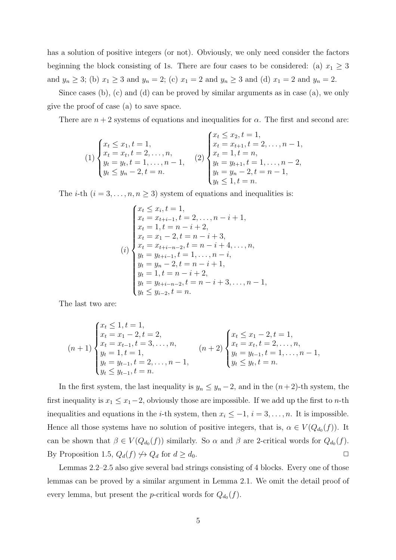has a solution of positive integers (or not). Obviously, we only need consider the factors beginning the block consisting of 1s. There are four cases to be considered: (a)  $x_1 \geq 3$ and  $y_n \ge 3$ ; (b)  $x_1 \ge 3$  and  $y_n = 2$ ; (c)  $x_1 = 2$  and  $y_n \ge 3$  and (d)  $x_1 = 2$  and  $y_n = 2$ .

Since cases (b), (c) and (d) can be proved by similar arguments as in case (a), we only give the proof of case (a) to save space.

There are  $n + 2$  systems of equations and inequalities for  $\alpha$ . The first and second are:

$$
(1) \begin{cases} x_t \leq x_1, t = 1, \\ x_t = x_t, t = 2, \dots, n, \\ y_t = y_t, t = 1, \dots, n - 1, \\ y_t \leq y_n - 2, t = n. \end{cases} (2) \begin{cases} x_t \leq x_2, t = 1, \\ x_t = x_{t+1}, t = 2, \dots, n - 1, \\ x_t = 1, t = n, \\ y_t = y_{t+1}, t = 1, \dots, n - 2, \\ y_t = y_n - 2, t = n - 1, \\ y_t \leq 1, t = n. \end{cases}
$$

The *i*-th  $(i = 3, ..., n, n \ge 3)$  system of equations and inequalities is:

$$
\begin{cases}\nx_t \leq x_i, t = 1, \\
x_t = x_{t+i-1}, t = 2, \dots, n - i + 1, \\
x_t = 1, t = n - i + 2, \\
x_t = x_1 - 2, t = n - i + 3, \\
x_t = x_{t+i-n-2}, t = n - i + 4, \dots, n, \\
y_t = y_{t+i-1}, t = 1, \dots, n - i, \\
y_t = y_n - 2, t = n - i + 1, \\
y_t = 1, t = n - i + 2, \\
y_t = y_{t+i-n-2}, t = n - i + 3, \dots, n - 1, \\
y_t \leq y_{i-2}, t = n.\n\end{cases}
$$

The last two are:

$$
(n+1)\begin{cases} x_t \leq 1, t = 1, \\ x_t = x_1 - 2, t = 2, \\ x_t = x_{t-1}, t = 3, \dots, n, \\ y_t = 1, t = 1, \\ y_t = y_{t-1}, t = 2, \dots, n-1, \\ y_t \leq y_{t-1}, t = n. \end{cases} (n+2)\begin{cases} x_t \leq x_1 - 2, t = 1, \\ x_t = x_t, t = 2, \dots, n, \\ y_t = y_{t-1}, t = 1, \dots, n-1, \\ y_t \leq y_t, t = n. \end{cases}
$$

In the first system, the last inequality is  $y_n \leq y_n - 2$ , and in the  $(n+2)$ -th system, the first inequality is  $x_1 \leq x_1 - 2$ , obviously those are impossible. If we add up the first to *n*-th inequalities and equations in the *i*-th system, then  $x_i \leq -1$ ,  $i = 3, \ldots, n$ . It is impossible. Hence all those systems have no solution of positive integers, that is,  $\alpha \in V(Q_{d_0}(f))$ . It can be shown that  $\beta \in V(Q_{d_0}(f))$  similarly. So  $\alpha$  and  $\beta$  are 2-critical words for  $Q_{d_0}(f)$ . By Proposition 1.5,  $Q_d(f) \nleftrightarrow Q_d$  for  $d \geq d_0$ .

Lemmas 2.2–2.5 also give several bad strings consisting of 4 blocks. Every one of those lemmas can be proved by a similar argument in Lemma 2.1. We omit the detail proof of every lemma, but present the *p*-critical words for  $Q_{d_0}(f)$ .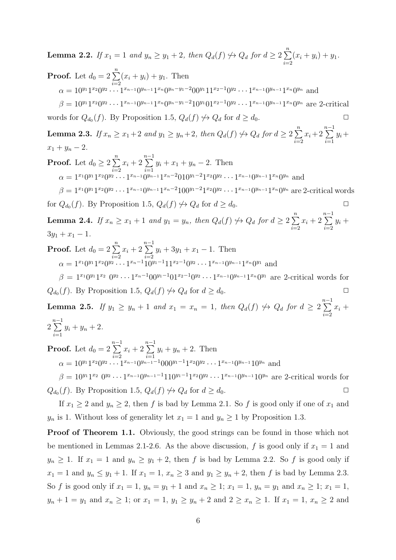**Lemma 2.2.** *If*  $x_1 = 1$  *and*  $y_n \ge y_1 + 2$ *, then*  $Q_d(f) \nleftrightarrow Q_d$  *for*  $d \ge 2 \sum_{n=1}^{\infty}$  $i=2$  $(x_i + y_i) + y_1.$ 

**Proof.** Let 
$$
d_0 = 2 \sum_{i=2}^{n} (x_i + y_i) + y_1
$$
. Then  
\n
$$
\alpha = 10^{y_1} 1^{x_2} 0^{y_2} \cdots 1^{x_{n-1}} 0^{y_{n-1}} 1^{x_n} 0^{y_n - y_1 - 2} 00^{y_1} 11^{x_2 - 1} 0^{y_2} \cdots 1^{x_{n-1}} 0^{y_{n-1}} 1^{x_n} 0^{y_n}
$$
 and  
\n
$$
\beta = 10^{y_1} 1^{x_2} 0^{y_2} \cdots 1^{x_{n-1}} 0^{y_{n-1}} 1^{x_n} 0^{y_n - y_1 - 2} 10^{y_1} 01^{x_2 - 1} 0^{y_2} \cdots 1^{x_{n-1}} 0^{y_{n-1}} 1^{x_n} 0^{y_n}
$$
 are 2-critical

words for  $Q_{d_0}(f)$ . By Proposition 1.5,  $Q_d(f) \nleftrightarrow Q_d$  for  $d \geq d_0$ .

**Lemma 2.3.** *If*  $x_n \ge x_1 + 2$  *and*  $y_1 \ge y_n + 2$ *, then*  $Q_d(f) \nleftrightarrow Q_d$  *for*  $d \ge 2 \sum_{n=1}^{n}$  $i=2$  $x_i+2$  $\sum_{n=1}^{n-1}$  $i=1$  $y_i+$  $x_1 + y_n - 2$ .

**Proof.** Let  $d_0 \geq 2 \sum_{n=1}^{n}$  $i=2$  $x_i + 2$  $\sum_{n=1}^{n-1}$  $i=1$  $y_i + x_1 + y_n - 2$ . Then  $\alpha = 1^{x_1}0^{y_1}1^{x_2}0^{y_2}\cdots1^{x_{n-1}}0^{y_{n-1}}1^{x_n-2}010^{y_1-2}1^{x_2}0^{y_2}\cdots1^{x_{n-1}}0^{y_{n-1}}1^{x_n}0^{y_n}$  and  $\beta = 1^{x_1} 0^{y_1} 1^{x_2} 0^{y_2} \cdots 1^{x_{n-1}} 0^{y_{n-1}} 1^{x_n-2} 1 0 0^{y_1-2} 1^{x_2} 0^{y_2} \cdots 1^{x_{n-1}} 0^{y_{n-1}} 1^{x_n} 0^{y_n}$  are 2-critical words

for  $Q_{d_0}(f)$ . By Proposition 1.5,  $Q_d(f) \nleftrightarrow Q_d$  for  $d \geq d_0$ .

**Lemma 2.4.** *If*  $x_n \ge x_1 + 1$  *and*  $y_1 = y_n$ *, then*  $Q_d(f) \nleftrightarrow Q_d$  *for*  $d \ge 2 \sum_{n=1}^{\infty}$  $i=2$  $x_i + 2$  $\sum^{n-1}$  $i=2$  $y_i +$  $3y_1 + x_1 - 1$ .

**Proof.** Let  $d_0 = 2 \sum_{n=1}^{n}$  $i=2$  $x_i + 2$  $\sum^{n-1}$  $i=2$  $y_i + 3y_1 + x_1 - 1$ . Then  $\alpha = 1^{x_1}0^{y_1}1^{x_2}0^{y_2}\cdots1^{x_n-1}10^{y_1-1}11^{x_2-1}0^{y_2}\cdots1^{x_{n-1}}0^{y_{n-1}}1^{x_n}0^{y_1}$  and  $\beta = 1^{x_1}0^{y_1}1^{x_2} 0^{y_2} \cdots 1^{x_n-1}00^{y_1-1}01^{x_2-1}0^{y_2} \cdots 1^{x_{n-1}}0^{y_{n-1}}1^{x_n}0^{y_1}$  are 2-critical words for

 $Q_{d_0}(f)$ . By Proposition 1.5,  $Q_d(f) \nleftrightarrow Q_d$  for  $d \geq d_0$ .

**Lemma 2.5.** *If*  $y_1 \ge y_n + 1$  *and*  $x_1 = x_n = 1$ *, then*  $Q_d(f) \nleftrightarrow Q_d$  *for*  $d \ge 2$  $\sum_{n=1}^{n-1}$  $i=2$  $x_i +$ 2  $\sum_{n=1}^{n-1}$  $y_i + y_n + 2.$ 

**Proof.** Let  $d_0 = 2$  $\sum_{n=1}^{n-1}$  $i=2$  $x_i + 2$  $\sum_{n=1}^{n-1}$  $i=1$  $y_i + y_n + 2$ . Then  $\alpha = 10^{y_1} 1^{x_2} 0^{y_2} \cdots 1^{x_{n-1}} 0^{y_{n-1}-1} 000^{y_1-1} 1^{x_2} 0^{y_2} \cdots 1^{x_{n-1}} 0^{y_{n-1}} 10^{y_n}$  and  $\beta = 10^{y_1} 1^{x_2} 0^{y_2} \cdots 1^{x_{n-1}} 0^{y_{n-1}-1} 110^{y_1-1} 1^{x_2} 0^{y_2} \cdots 1^{x_{n-1}} 0^{y_{n-1}} 10^{y_n}$  are 2-critical words for

 $Q_{d_0}(f)$ . By Proposition 1.5,  $Q_d(f) \nleftrightarrow Q_d$  for  $d \geq d_0$ .

 $i=1$ 

If  $x_1 \geq 2$  and  $y_n \geq 2$ , then f is bad by Lemma 2.1. So f is good only if one of  $x_1$  and  $y_n$  is 1. Without loss of generality let  $x_1 = 1$  and  $y_n \ge 1$  by Proposition 1.3.

**Proof of Theorem 1.1.** Obviously, the good strings can be found in those which not be mentioned in Lemmas 2.1-2.6. As the above discussion, f is good only if  $x_1 = 1$  and  $y_n \geq 1$ . If  $x_1 = 1$  and  $y_n \geq y_1 + 2$ , then f is bad by Lemma 2.2. So f is good only if  $x_1 = 1$  and  $y_n \le y_1 + 1$ . If  $x_1 = 1$ ,  $x_n \ge 3$  and  $y_1 \ge y_n + 2$ , then f is bad by Lemma 2.3. So f is good only if  $x_1 = 1$ ,  $y_n = y_1 + 1$  and  $x_n \ge 1$ ;  $x_1 = 1$ ,  $y_n = y_1$  and  $x_n \ge 1$ ;  $x_1 = 1$ ,  $y_n + 1 = y_1$  and  $x_n \ge 1$ ; or  $x_1 = 1$ ,  $y_1 \ge y_n + 2$  and  $2 \ge x_n \ge 1$ . If  $x_1 = 1$ ,  $x_n \ge 2$  and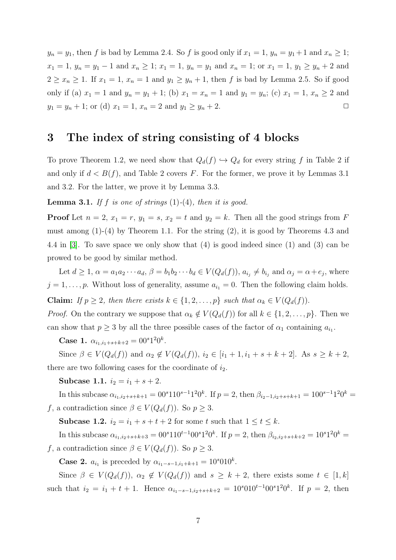$y_n = y_1$ , then f is bad by Lemma 2.4. So f is good only if  $x_1 = 1$ ,  $y_n = y_1 + 1$  and  $x_n \ge 1$ ;  $x_1 = 1, y_n = y_1 - 1$  and  $x_n \ge 1$ ;  $x_1 = 1, y_n = y_1$  and  $x_n = 1$ ; or  $x_1 = 1, y_1 \ge y_n + 2$  and  $2 \geq x_n \geq 1$ . If  $x_1 = 1$ ,  $x_n = 1$  and  $y_1 \geq y_n + 1$ , then f is bad by Lemma 2.5. So if good only if (a)  $x_1 = 1$  and  $y_n = y_1 + 1$ ; (b)  $x_1 = x_n = 1$  and  $y_1 = y_n$ ; (c)  $x_1 = 1$ ,  $x_n \ge 2$  and  $y_1 = y_n + 1$ ; or (d)  $x_1 = 1$ ,  $x_n = 2$  and  $y_1 \ge y_n + 2$ .

### 3 The index of string consisting of 4 blocks

To prove Theorem 1.2, we need show that  $Q_d(f) \hookrightarrow Q_d$  for every string f in Table 2 if and only if  $d < B(f)$ , and Table 2 covers F. For the former, we prove it by Lemmas 3.1 and 3.2. For the latter, we prove it by Lemma 3.3.

**Lemma 3.1.** If f is one of strings  $(1)-(4)$ *, then it is good.* 

**Proof** Let  $n = 2$ ,  $x_1 = r$ ,  $y_1 = s$ ,  $x_2 = t$  and  $y_2 = k$ . Then all the good strings from F must among (1)-(4) by Theorem 1.1. For the string (2), it is good by Theorems 4.3 and 4.4 in [\[3\]](#page-11-3). To save space we only show that (4) is good indeed since (1) and (3) can be prowed to be good by similar method.

Let  $d \geq 1$ ,  $\alpha = a_1 a_2 \cdots a_d$ ,  $\beta = b_1 b_2 \cdots b_d \in V(Q_d(f))$ ,  $a_{i_j} \neq b_{i_j}$  and  $\alpha_j = \alpha + e_j$ , where  $j = 1, \ldots, p$ . Without loss of generality, assume  $a_{i_1} = 0$ . Then the following claim holds.

Claim: *If*  $p \geq 2$ *, then there exists*  $k \in \{1, 2, ..., p\}$  *such that*  $\alpha_k \in V(Q_d(f))$ .

*Proof.* On the contrary we suppose that  $\alpha_k \notin V(Q_d(f))$  for all  $k \in \{1, 2, ..., p\}$ . Then we can show that  $p \geq 3$  by all the three possible cases of the factor of  $\alpha_1$  containing  $a_{i_1}$ .

Case 1.  $\alpha_{i_1,i_1+s+k+2} = 00^{s}1^20^k$ .

Since  $\beta \in V(Q_d(f))$  and  $\alpha_2 \notin V(Q_d(f)), i_2 \in [i_1 + 1, i_1 + s + k + 2]$ . As  $s \geq k + 2$ , there are two following cases for the coordinate of  $i_2$ .

Subcase 1.1.  $i_2 = i_1 + s + 2$ .

In this subcase  $\alpha_{i_1,i_2+s+k+1} = 00^{s}110^{s-1}1^20^k$ . If  $p = 2$ , then  $\beta_{i_2-1,i_2+s+k+1} = 100^{s-1}1^20^k$ f, a contradiction since  $\beta \in V(Q_d(f))$ . So  $p \geq 3$ .

**Subcase 1.2.**  $i_2 = i_1 + s + t + 2$  for some t such that  $1 \le t \le k$ .

In this subcase  $\alpha_{i_1,i_2+s+k+3} = 00^{s}110^{t-1}00^{s}1^{2}0^{k}$ . If  $p = 2$ , then  $\beta_{i_2,i_2+s+k+2} = 10^{s}1^{2}0^{k}$ f, a contradiction since  $\beta \in V(Q_d(f))$ . So  $p \geq 3$ .

**Case 2.**  $a_{i_1}$  is preceded by  $\alpha_{i_1-s-1,i_1+k+1} = 10^s 010^k$ .

Since  $\beta \in V(Q_d(f))$ ,  $\alpha_2 \notin V(Q_d(f))$  and  $s \geq k+2$ , there exists some  $t \in [1, k]$ such that  $i_2 = i_1 + t + 1$ . Hence  $\alpha_{i_1 - s - 1, i_2 + s + k + 2} = 10^s 0 10^{t-1} 00^s 1^2 0^k$ . If  $p = 2$ , then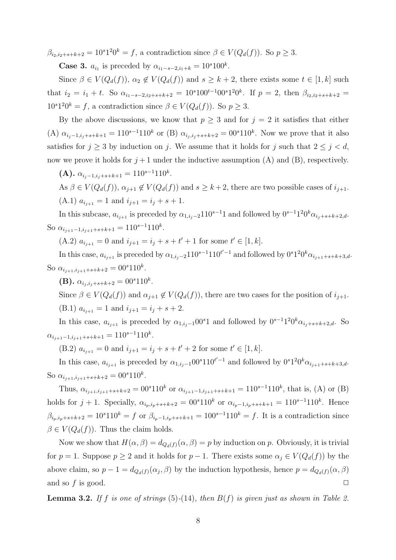$\beta_{i_2,i_2+s+k+2} = 10^s 1^2 0^k = f$ , a contradiction since  $\beta \in V(Q_d(f))$ . So  $p \geq 3$ .

**Case 3.**  $a_{i_1}$  is preceded by  $\alpha_{i_1-s-2,i_1+k} = 10^s 100^k$ .

Since  $\beta \in V(Q_d(f))$ ,  $\alpha_2 \notin V(Q_d(f))$  and  $s \geq k+2$ , there exists some  $t \in [1, k]$  such that  $i_2 = i_1 + t$ . So  $\alpha_{i_1-s-2,i_2+s+k+2} = 10^{s}100^{t-1}00^{s}1^{2}0^{k}$ . If  $p = 2$ , then  $\beta_{i_2,i_2+s+k+2} =$  $10^{s}1^{2}0^{k} = f$ , a contradiction since  $\beta \in V(Q_{d}(f))$ . So  $p \geq 3$ .

By the above discussions, we know that  $p \geq 3$  and for  $j = 2$  it satisfies that either (A)  $\alpha_{i_j-1,i_j+s+k+1} = 110^{s-1}110^k$  or (B)  $\alpha_{i_j,i_j+s+k+2} = 00^s110^k$ . Now we prove that it also satisfies for  $j \geq 3$  by induction on j. We assume that it holds for j such that  $2 \leq j \leq d$ , now we prove it holds for  $j+1$  under the inductive assumption (A) and (B), respectively.

(**A**).  $\alpha_{i_j-1,i_j+s+k+1} = 110^{s-1}110^k$ .

As  $\beta \in V(Q_d(f))$ ,  $\alpha_{i+1} \notin V(Q_d(f))$  and  $s \geq k+2$ , there are two possible cases of  $i_{j+1}$ . (A.1)  $a_{i_{i+1}} = 1$  and  $i_{i+1} = i_i + s + 1$ .

In this subcase,  $a_{i_{j+1}}$  is preceded by  $\alpha_{1,i_j-2}110^{s-1}1$  and followed by  $0^{s-1}1^20^k\alpha_{i_j+s+k+2,d}$ . So  $\alpha_{i_{j+1}-1,i_{j+1}+s+k+1} = 110^{s-1}110^k$ .

(A.2)  $a_{i_{j+1}} = 0$  and  $i_{j+1} = i_j + s + t' + 1$  for some  $t' \in [1, k]$ .

In this case,  $a_{i_{j+1}}$  is preceded by  $\alpha_{1,i_j-2}110^{s-1}110^{t'-1}$  and followed by  $0s1^20^k\alpha_{i_{j+1}+s+k+3,d}$ . So  $\alpha_{i_{j+1},i_{j+1}+s+k+2} = 00^{s}110^{k}$ .

(**B**).  $\alpha_{i_j, i_j+s+k+2} = 00^s 110^k$ .

Since  $\beta \in V(Q_d(f))$  and  $\alpha_{j+1} \notin V(Q_d(f))$ , there are two cases for the position of  $i_{j+1}$ . (B.1)  $a_{i_{i+1}} = 1$  and  $i_{i+1} = i_i + s + 2$ .

In this case,  $a_{i_{j+1}}$  is preceded by  $\alpha_{1,i_j-1}00^s1$  and followed by  $0^{s-1}1^20^k\alpha_{i_j+s+k+2,d}$ . So  $\alpha_{i_{j+1}-1,i_{j+1}+s+k+1} = 110^{s-1}110^k.$ 

(B.2)  $a_{i_{j+1}} = 0$  and  $i_{j+1} = i_j + s + t' + 2$  for some  $t' \in [1, k]$ .

In this case,  $a_{i_{j+1}}$  is preceded by  $\alpha_{1,i_j-1}00^s110^{t'-1}$  and followed by  $0^s1^20^k\alpha_{i_{j+1}+s+k+3,d}$ . So  $\alpha_{i_{j+1},i_{j+1}+s+k+2} = 00^{s}110^{k}$ .

Thus,  $\alpha_{i_{j+1},i_{j+1}+s+k+2} = 00^{s}110^{k}$  or  $\alpha_{i_{j+1}-1,i_{j+1}+s+k+1} = 110^{s-1}110^{k}$ , that is, (A) or (B) holds for  $j + 1$ . Specially,  $\alpha_{i_p,i_p+s+k+2} = 00^{s}110^{k}$  or  $\alpha_{i_p-1,i_p+s+k+1} = 110^{s-1}110^{k}$ . Hence  $\beta_{i_p,i_p+s+k+2} = 10^{s}110^{k} = f$  or  $\beta_{i_p-1,i_p+s+k+1} = 100^{s-1}110^{k} = f$ . It is a contradiction since  $\beta \in V(Q_d(f))$ . Thus the claim holds.

Now we show that  $H(\alpha, \beta) = d_{Q_d(f)}(\alpha, \beta) = p$  by induction on p. Obviously, it is trivial for  $p = 1$ . Suppose  $p \ge 2$  and it holds for  $p - 1$ . There exists some  $\alpha_i \in V(Q_d(f))$  by the above claim, so  $p-1 = d_{Q_d(f)}(\alpha_j, \beta)$  by the induction hypothesis, hence  $p = d_{Q_d(f)}(\alpha, \beta)$ and so f is good.  $\Box$ 

Lemma 3.2. *If* f *is one of strings* (5)*-*(14)*, then* B(f) *is given just as shown in Table 2.*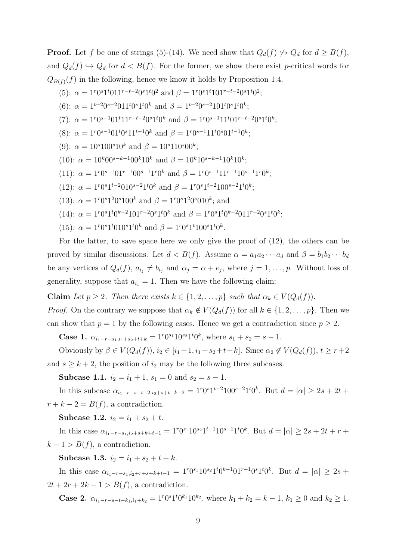**Proof.** Let f be one of strings (5)-(14). We need show that  $Q_d(f) \nrightarrow Q_d$  for  $d \geq B(f)$ , and  $Q_d(f) \hookrightarrow Q_d$  for  $d < B(f)$ . For the former, we show there exist p-critical words for  $Q_{B(f)}(f)$  in the following, hence we know it holds by Proposition 1.4.

(5): 
$$
\alpha = 1^r 0^s 1^t 0 11^{r-t-2} 0^s 1^t 0^2
$$
 and  $\beta = 1^r 0^s 1^t 1 01^{r-t-2} 0^s 1^t 0^2$ ;

- (6):  $\alpha = 1^{t+2} 0^{s-2} 0 1 1^t 0^s 1^t 0^k$  and  $\beta = 1^{t+2} 0^{s-2} 1 0 1^t 0^s 1^t 0^k$ ;
- (7):  $\alpha = 1^r 0^{s-1} 0 1^t 1 1^{r-t-2} 0^s 1^t 0^k$  and  $\beta = 1^r 0^{s-1} 1 1^t 0 1^{r-t-2} 0^s 1^t 0^k$ ;
- (8):  $\alpha = 1^r 0^{s-1} 01^t 0^s 11^{t-1} 0^k$  and  $\beta = 1^r 0^{s-1} 11^t 0^s 01^{t-1} 0^k$ ;
- (9):  $\alpha = 10^{s} 100^{s} 10^{k}$  and  $\beta = 10^{s} 110^{s} 00^{k}$ ;
- (10):  $\alpha = 10^k 00^{s-k-1} 00^k 10^k$  and  $\beta = 10^k 10^{s-k-1} 10^k 10^k$ ;
- (11):  $\alpha = 1^r 0^{s-1} 01^{r-1} 00^{s-1} 1^r 0^k$  and  $\beta = 1^r 0^{s-1} 11^{r-1} 10^{s-1} 1^r 0^k$ ;
- (12):  $\alpha = 1^r 0^s 1^{t-2} 0 1 0^{s-2} 1^t 0^k$  and  $\beta = 1^r 0^s 1^{t-2} 1 0 0^{s-2} 1^t 0^k$ ;
- (13):  $\alpha = 1^r 0^s 1^2 0^s 100^k$  and  $\beta = 1^r 0^s 1^2 0^s 010^k$ ; and
- (14):  $\alpha = 1^r 0^s 1^t 0^{k-2} 1 0 1^{r-2} 0^s 1^t 0^k$  and  $\beta = 1^r 0^s 1^t 0^{k-2} 0 1 1^{r-2} 0^s 1^t 0^k$ ;
- (15):  $\alpha = 1^r 0^s 1^t 0 1 0^s 1^t 0^k$  and  $\beta = 1^r 0^s 1^t 1 0 0^s 1^t 0^k$ .

For the latter, to save space here we only give the proof of (12), the others can be proved by similar discussions. Let  $d < B(f)$ . Assume  $\alpha = a_1 a_2 \cdots a_d$  and  $\beta = b_1 b_2 \cdots b_d$ be any vertices of  $Q_d(f)$ ,  $a_{i_j} \neq b_{i_j}$  and  $\alpha_j = \alpha + e_j$ , where  $j = 1, \ldots, p$ . Without loss of generality, suppose that  $a_{i_1} = 1$ . Then we have the following claim:

Claim *Let*  $p \geq 2$ *. Then there exists*  $k \in \{1, 2, ..., p\}$  *such that*  $\alpha_k \in V(Q_d(f))$ *.* 

*Proof.* On the contrary we suppose that  $\alpha_k \notin V(Q_d(f))$  for all  $k \in \{1, 2, ..., p\}$ . Then we can show that  $p = 1$  by the following cases. Hence we get a contradiction since  $p \geq 2$ .

Case 1.  $\alpha_{i_1-r-s_1,i_1+s_2+t+k} = 1^r 0^{s_1} 10^{s_2} 1^t 0^k$ , where  $s_1 + s_2 = s - 1$ .

Obviously by  $\beta \in V(Q_d(f)), i_2 \in [i_1+1, i_1+s_2+t+k]$ . Since  $\alpha_2 \notin V(Q_d(f)), t \geq r+2$ and  $s \geq k + 2$ , the position of  $i_2$  may be the following three subcases.

Subcase 1.1.  $i_2 = i_1 + 1$ ,  $s_1 = 0$  and  $s_2 = s - 1$ .

In this subcase  $\alpha_{i_1-r-s-t+2,i_2+s+t+k-2} = 1^r 0^s 1^{t-2} 100^{s-2} 1^t 0^k$ . But  $d = |\alpha| \geq 2s + 2t +$  $r + k - 2 = B(f)$ , a contradiction.

Subcase 1.2.  $i_2 = i_1 + s_2 + t$ .

In this case  $\alpha_{i_1-r-s_1,i_2+s+k+t-1} = 1^r 0^{s_1} 1 0^{s_2} 1^{t-1} 1 0^{s-1} 1^t 0^k$ . But  $d = |\alpha| \geq 2s + 2t + r +$  $k-1 > B(f)$ , a contradiction.

Subcase 1.3.  $i_2 = i_1 + s_2 + t + k$ .

In this case  $\alpha_{i_1-r-s_1,i_2+r+s+k+t-1} = 1^r 0^{s_1} 10^{s_2} 1^t 0^{k-1} 01^{r-1} 0^s 1^t 0^k$ . But  $d = |\alpha| \geq 2s +$  $2t + 2r + 2k - 1 > B(f)$ , a contradiction.

**Case 2.**  $\alpha_{i_1-r-s-t-k_1,i_1+k_2} = 1^r 0^s 1^t 0^{k_1} 10^{k_2}$ , where  $k_1 + k_2 = k - 1$ ,  $k_1 ≥ 0$  and  $k_2 ≥ 1$ .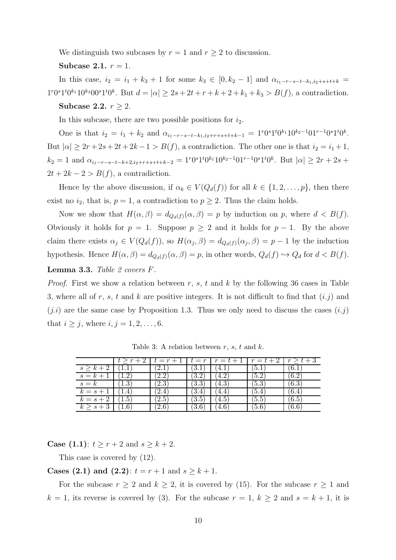We distinguish two subcases by  $r = 1$  and  $r \geq 2$  to discussion.

#### Subcase 2.1.  $r = 1$ .

In this case,  $i_2 = i_1 + k_3 + 1$  for some  $k_3 \in [0, k_2 - 1]$  and  $\alpha_{i_1-r-s-t-k_1,i_2+s+t+k}$  $1^{r}0^{s}1^{t}0^{k_1}10^{k_3}00^{s}1^{t}0^{k}$ . But  $d = |\alpha| \geq 2s + 2t + r + k + 2 + k_1 + k_3 > B(f)$ , a contradiction.

#### Subcase 2.2.  $r > 2$ .

In this subcase, there are two possible positions for  $i_2$ .

One is that  $i_2 = i_1 + k_2$  and  $\alpha_{i_1-r-s-t-k_1,i_2+r+s+t+k-1} = 1^r 0^s 1^t 0^{k_1} 10^{k_2-1} 01^{r-1} 0^s 1^t 0^k$ . But  $|\alpha| \geq 2r + 2s + 2t + 2k - 1 > B(f)$ , a contradiction. The other one is that  $i_2 = i_1 + 1$ ,  $k_2 = 1$  and  $\alpha_{i_1-r-s-t-k+2,i_2+r+s+t+k-2} = 1^r 0^s 1^t 0^{k_1} 10^{k_2-1} 0 1^{r-1} 0^s 1^t 0^k$ . But  $|\alpha| \geq 2r+2s+1$  $2t + 2k - 2 > B(f)$ , a contradiction.

Hence by the above discussion, if  $\alpha_k \in V(Q_d(f))$  for all  $k \in \{1, 2, \ldots, p\}$ , then there exist no  $i_2$ , that is,  $p = 1$ , a contradiction to  $p \geq 2$ . Thus the claim holds.

Now we show that  $H(\alpha, \beta) = d_{Q_d(f)}(\alpha, \beta) = p$  by induction on p, where  $d < B(f)$ . Obviously it holds for  $p = 1$ . Suppose  $p \geq 2$  and it holds for  $p - 1$ . By the above claim there exists  $\alpha_j \in V(Q_d(f))$ , so  $H(\alpha_j, \beta) = d_{Q_d(f)}(\alpha_j, \beta) = p-1$  by the induction hypothesis. Hence  $H(\alpha, \beta) = d_{Q_d(f)}(\alpha, \beta) = p$ , in other words,  $Q_d(f) \hookrightarrow Q_d$  for  $d < B(f)$ .

#### Lemma 3.3. *Table 2 covers* F*.*

*Proof.* First we show a relation between r, s, t and k by the following 36 cases in Table 3, where all of r, s, t and k are positive integers. It is not difficult to find that  $(i.j)$  and  $(i,i)$  are the same case by Proposition 1.3. Thus we only need to discuss the cases  $(i,j)$ that  $i \geq j$ , where  $i, j = 1, 2, \ldots, 6$ .

|                         |               | $r = r$                    | $r = r$             | $r = t + 1$ | $r=t+z$          |       |
|-------------------------|---------------|----------------------------|---------------------|-------------|------------------|-------|
| $s \geq k+2$            |               | ∠.⊥                        | 3.1                 | <u>'4.,</u> | 1.6 <sup>1</sup> | 6.1   |
| $s=k+1$                 |               | $\ddot{\bm{\cdot}}$<br>4.4 | $\partial . \angle$ |             | 15.2             | 0.2   |
| $s = k$                 | 1.O           | $2.3\,$                    | 3.3                 | 4.3         | 6.6"             | (6.5) |
| $k=s+1$                 | 1.4           |                            | -0.4                | 4.4         | 4                |       |
| $k=s+2$                 | 1.5           | $\angle$ . J               | $^{\prime}3.5$      | 4.5         | 5.5              | 6.5   |
| $k \geq \overline{s+3}$ | $1.6^{\circ}$ | $^{\prime}2.6$             | [3.6]               | 4.0         | (5.6)            | 6.6   |

Table 3: A relation between  $r, s, t$  and  $k$ .

**Case** (1.1):  $t \ge r + 2$  and  $s \ge k + 2$ .

This case is covered by (12).

**Cases (2.1) and (2.2)**:  $t = r + 1$  and  $s \geq k + 1$ .

For the subcase  $r \geq 2$  and  $k \geq 2$ , it is covered by (15). For the subcase  $r \geq 1$  and  $k = 1$ , its reverse is covered by (3). For the subcase  $r = 1$ ,  $k \ge 2$  and  $s = k + 1$ , it is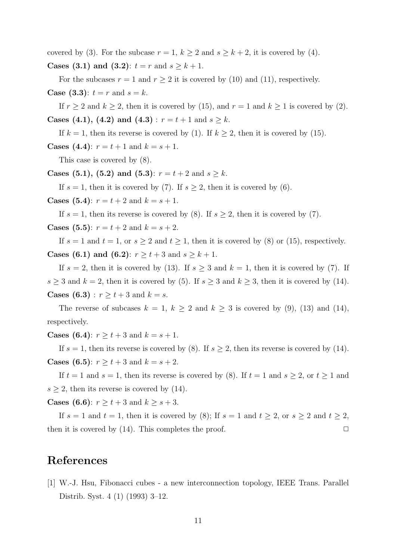covered by (3). For the subcase  $r = 1$ ,  $k \ge 2$  and  $s \ge k + 2$ , it is covered by (4). **Cases (3.1) and (3.2)**:  $t = r$  and  $s \geq k + 1$ .

For the subcases  $r = 1$  and  $r \geq 2$  it is covered by (10) and (11), respectively. **Case** (3.3):  $t = r$  and  $s = k$ .

If  $r \ge 2$  and  $k \ge 2$ , then it is covered by (15), and  $r = 1$  and  $k \ge 1$  is covered by (2). Cases (4.1), (4.2) and (4.3) :  $r = t + 1$  and  $s \ge k$ .

If  $k = 1$ , then its reverse is covered by (1). If  $k \geq 2$ , then it is covered by (15). **Cases (4.4)**:  $r = t + 1$  and  $k = s + 1$ .

This case is covered by (8).

Cases (5.1), (5.2) and (5.3):  $r = t + 2$  and  $s \ge k$ .

If  $s = 1$ , then it is covered by (7). If  $s \geq 2$ , then it is covered by (6).

**Cases (5.4)**:  $r = t + 2$  and  $k = s + 1$ .

If  $s = 1$ , then its reverse is covered by (8). If  $s \geq 2$ , then it is covered by (7). **Cases (5.5)**:  $r = t + 2$  and  $k = s + 2$ .

If  $s = 1$  and  $t = 1$ , or  $s \geq 2$  and  $t \geq 1$ , then it is covered by (8) or (15), respectively. **Cases (6.1) and (6.2)**:  $r \ge t + 3$  and  $s \ge k + 1$ .

If  $s = 2$ , then it is covered by (13). If  $s \geq 3$  and  $k = 1$ , then it is covered by (7). If  $s \geq 3$  and  $k = 2$ , then it is covered by (5). If  $s \geq 3$  and  $k \geq 3$ , then it is covered by (14). **Cases (6.3)**:  $r \ge t + 3$  and  $k = s$ .

The reverse of subcases  $k = 1, k \geq 2$  and  $k \geq 3$  is covered by (9), (13) and (14), respectively.

**Cases (6.4)**:  $r \ge t + 3$  and  $k = s + 1$ .

If  $s = 1$ , then its reverse is covered by (8). If  $s \geq 2$ , then its reverse is covered by (14). **Cases (6.5)**:  $r \ge t + 3$  and  $k = s + 2$ .

If  $t = 1$  and  $s = 1$ , then its reverse is covered by (8). If  $t = 1$  and  $s \geq 2$ , or  $t \geq 1$  and  $s \geq 2$ , then its reverse is covered by (14).

**Cases (6.6)**:  $r \ge t + 3$  and  $k \ge s + 3$ .

If  $s = 1$  and  $t = 1$ , then it is covered by (8); If  $s = 1$  and  $t \geq 2$ , or  $s \geq 2$  and  $t \geq 2$ , then it is covered by  $(14)$ . This completes the proof.  $\Box$ 

# <span id="page-10-0"></span>References

[1] W.-J. Hsu, Fibonacci cubes - a new interconnection topology, IEEE Trans. Parallel Distrib. Syst. 4 (1) (1993) 3–12.